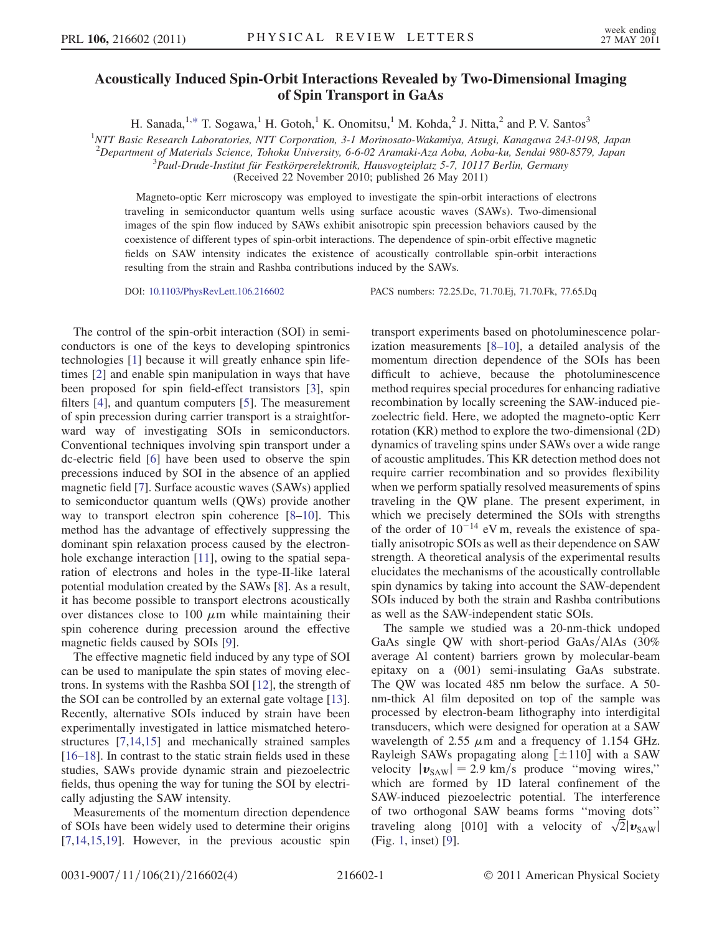## Acoustically Induced Spin-Orbit Interactions Revealed by Two-Dimensional Imaging of Spin Transport in GaAs

H. Sanada,  $^{1,*}$  $^{1,*}$  $^{1,*}$  T. Sogawa,<sup>1</sup> H. Gotoh,<sup>1</sup> K. Onomitsu,<sup>1</sup> M. Kohda,<sup>2</sup> J. Nitta,<sup>2</sup> and P. V. Santos<sup>3</sup>

<span id="page-0-0"></span><sup>1</sup>NTT Basic Research Laboratories, NTT Corporation, 3-1 Morinosato-Wakamiya, Atsugi, Kanagawa 243-0198, Japan

<sup>2</sup>Department of Materials Science, Tohoku University, 6-6-02 Aramaki-Aza Aoba, Aoba-ku, Sendai 980-8579, Japan<br><sup>3</sup> Bayl Drude Institut für Eestkörperelektronik, Hausvesteinletz 5, 7, 10117 Berlin, Germany

 ${}^{3}$ Paul-Drude-Institut für Festkörperelektronik, Hausvogteiplatz 5-7, 10117 Berlin, Germany

(Received 22 November 2010; published 26 May 2011)

Magneto-optic Kerr microscopy was employed to investigate the spin-orbit interactions of electrons traveling in semiconductor quantum wells using surface acoustic waves (SAWs). Two-dimensional images of the spin flow induced by SAWs exhibit anisotropic spin precession behaviors caused by the coexistence of different types of spin-orbit interactions. The dependence of spin-orbit effective magnetic fields on SAW intensity indicates the existence of acoustically controllable spin-orbit interactions resulting from the strain and Rashba contributions induced by the SAWs.

DOI: [10.1103/PhysRevLett.106.216602](http://dx.doi.org/10.1103/PhysRevLett.106.216602) PACS numbers: 72.25.Dc, 71.70.Ej, 71.70.Fk, 77.65.Dq

The control of the spin-orbit interaction (SOI) in semiconductors is one of the keys to developing spintronics technologies [[1\]](#page-3-1) because it will greatly enhance spin lifetimes [[2\]](#page-3-2) and enable spin manipulation in ways that have been proposed for spin field-effect transistors [\[3](#page-3-3)], spin filters [[4\]](#page-3-4), and quantum computers [[5\]](#page-3-5). The measurement of spin precession during carrier transport is a straightforward way of investigating SOIs in semiconductors. Conventional techniques involving spin transport under a dc-electric field [\[6\]](#page-3-6) have been used to observe the spin precessions induced by SOI in the absence of an applied magnetic field [\[7\]](#page-3-7). Surface acoustic waves (SAWs) applied to semiconductor quantum wells (QWs) provide another way to transport electron spin coherence [[8](#page-3-8)[–10\]](#page-3-9). This method has the advantage of effectively suppressing the dominant spin relaxation process caused by the electronhole exchange interaction [[11](#page-3-10)], owing to the spatial separation of electrons and holes in the type-II-like lateral potential modulation created by the SAWs [[8\]](#page-3-8). As a result, it has become possible to transport electrons acoustically over distances close to 100  $\mu$ m while maintaining their spin coherence during precession around the effective magnetic fields caused by SOIs [[9\]](#page-3-11).

The effective magnetic field induced by any type of SOI can be used to manipulate the spin states of moving electrons. In systems with the Rashba SOI [[12](#page-3-12)], the strength of the SOI can be controlled by an external gate voltage [[13\]](#page-3-13). Recently, alternative SOIs induced by strain have been experimentally investigated in lattice mismatched heterostructures [[7,](#page-3-7)[14](#page-3-14),[15](#page-3-15)] and mechanically strained samples [\[16–](#page-3-16)[18\]](#page-3-17). In contrast to the static strain fields used in these studies, SAWs provide dynamic strain and piezoelectric fields, thus opening the way for tuning the SOI by electrically adjusting the SAW intensity.

Measurements of the momentum direction dependence of SOIs have been widely used to determine their origins [\[7,](#page-3-7)[14](#page-3-14)[,15](#page-3-15)[,19\]](#page-3-18). However, in the previous acoustic spin transport experiments based on photoluminescence polarization measurements [\[8–](#page-3-8)[10](#page-3-9)], a detailed analysis of the momentum direction dependence of the SOIs has been difficult to achieve, because the photoluminescence method requires special procedures for enhancing radiative recombination by locally screening the SAW-induced piezoelectric field. Here, we adopted the magneto-optic Kerr rotation (KR) method to explore the two-dimensional (2D) dynamics of traveling spins under SAWs over a wide range of acoustic amplitudes. This KR detection method does not require carrier recombination and so provides flexibility when we perform spatially resolved measurements of spins traveling in the QW plane. The present experiment, in which we precisely determined the SOIs with strengths of the order of  $10^{-14}$  eV m, reveals the existence of spatially anisotropic SOIs as well as their dependence on SAW strength. A theoretical analysis of the experimental results elucidates the mechanisms of the acoustically controllable spin dynamics by taking into account the SAW-dependent SOIs induced by both the strain and Rashba contributions as well as the SAW-independent static SOIs.

The sample we studied was a 20-nm-thick undoped GaAs single QW with short-period GaAs/AlAs  $(30\%$ average Al content) barriers grown by molecular-beam epitaxy on a (001) semi-insulating GaAs substrate. The QW was located 485 nm below the surface. A 50 nm-thick Al film deposited on top of the sample was processed by electron-beam lithography into interdigital transducers, which were designed for operation at a SAW wavelength of 2.55  $\mu$ m and a frequency of 1.154 GHz. Rayleigh SAWs propagating along  $[\pm 110]$  with a SAW velocity  $|\mathbf{v}_{\text{SAW}}| = 2.9 \text{ km/s}$  produce "moving wires," which are formed by 1D lateral confinement of the SAW-induced piezoelectric potential. The interference of two orthogonal SAW beams forms ''moving dots'' traveling along [010] with a velocity of  $\sqrt{2}|\mathbf{v}_{SAW}|$ (Fig. [1](#page-1-0), inset) [[9\]](#page-3-11).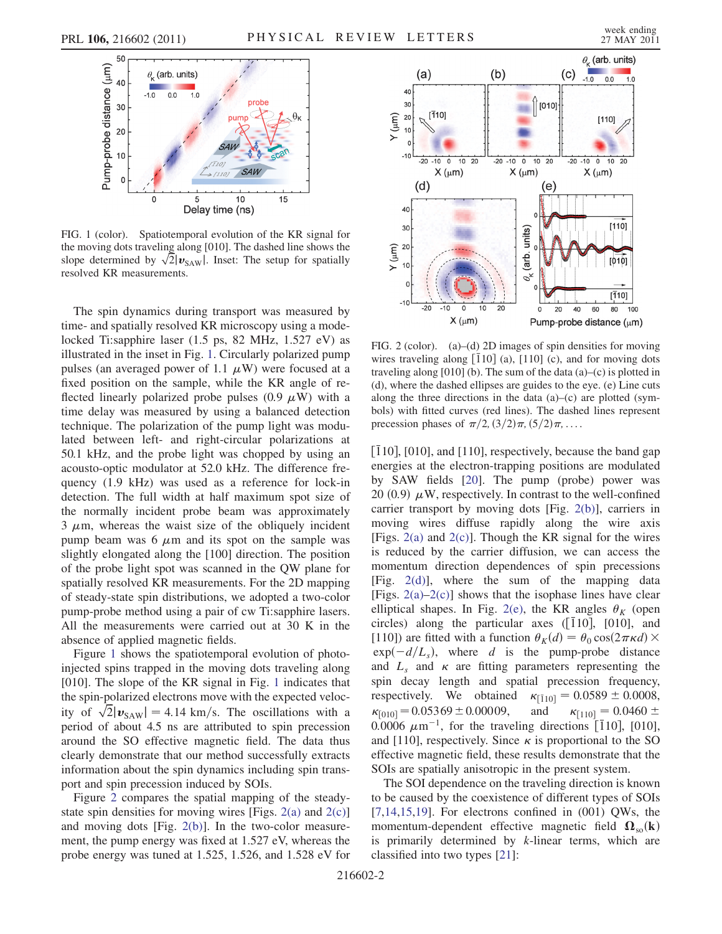<span id="page-1-0"></span>

FIG. 1 (color). Spatiotemporal evolution of the KR signal for the moving dots traveling along [010]. The dashed line shows the slope determined by  $\sqrt{2}$   $\boldsymbol{v}_{\text{SAW}}$ . Inset: The setup for spatially resolved KR measurements.

The spin dynamics during transport was measured by time- and spatially resolved KR microscopy using a modelocked Ti:sapphire laser (1.5 ps, 82 MHz, 1.527 eV) as illustrated in the inset in Fig. [1.](#page-1-0) Circularly polarized pump pulses (an averaged power of 1.1  $\mu$ W) were focused at a fixed position on the sample, while the KR angle of reflected linearly polarized probe pulses  $(0.9 \mu W)$  with a time delay was measured by using a balanced detection technique. The polarization of the pump light was modulated between left- and right-circular polarizations at 50.1 kHz, and the probe light was chopped by using an acousto-optic modulator at 52.0 kHz. The difference frequency (1.9 kHz) was used as a reference for lock-in detection. The full width at half maximum spot size of the normally incident probe beam was approximately  $3 \mu$ m, whereas the waist size of the obliquely incident pump beam was 6  $\mu$ m and its spot on the sample was slightly elongated along the [100] direction. The position of the probe light spot was scanned in the QW plane for spatially resolved KR measurements. For the 2D mapping of steady-state spin distributions, we adopted a two-color pump-probe method using a pair of cw Ti:sapphire lasers. All the measurements were carried out at 30 K in the absence of applied magnetic fields.

Figure [1](#page-1-0) shows the spatiotemporal evolution of photoinjected spins trapped in the moving dots traveling along [010]. The slope of the KR signal in Fig. [1](#page-1-0) indicates that the spin-polarized electrons move with the expected velocity of  $\sqrt{2} |v_{SAW}| = 4.14 \text{ km/s}$ . The oscillations with a period of about 4.5 ns are attributed to spin precession around the SO effective magnetic field. The data thus clearly demonstrate that our method successfully extracts information about the spin dynamics including spin transport and spin precession induced by SOIs.

Figure [2](#page-1-1) compares the spatial mapping of the steadystate spin densities for moving wires [Figs.  $2(a)$  and  $2(c)$ ] and moving dots [Fig. [2\(b\)](#page-1-2)]. In the two-color measurement, the pump energy was fixed at 1.527 eV, whereas the probe energy was tuned at 1.525, 1.526, and 1.528 eV for

<span id="page-1-1"></span>

<span id="page-1-2"></span>FIG. 2 (color). (a)–(d) 2D images of spin densities for moving wires traveling along  $[110]$  (a),  $[110]$  (c), and for moving dots traveling along [010] (b). The sum of the data (a)–(c) is plotted in (d), where the dashed ellipses are guides to the eye. (e) Line cuts along the three directions in the data  $(a)$ – $(c)$  are plotted (symbols) with fitted curves (red lines). The dashed lines represent precession phases of  $\pi/2$ ,  $\left(\frac{3}{2}\right)\pi$ ,  $\left(\frac{5}{2}\right)\pi$ , ...

 $\lceil \overline{1}10 \rceil$ ,  $\lceil 010 \rceil$ , and  $\lceil 110 \rceil$ , respectively, because the band gap energies at the electron-trapping positions are modulated by SAW fields [\[20\]](#page-3-19). The pump (probe) power was 20  $(0.9)$   $\mu$ W, respectively. In contrast to the well-confined carrier transport by moving dots [Fig. [2\(b\)\]](#page-1-2), carriers in moving wires diffuse rapidly along the wire axis [Figs.  $2(a)$  and  $2(c)$ ]. Though the KR signal for the wires is reduced by the carrier diffusion, we can access the momentum direction dependences of spin precessions [Fig. [2\(d\)](#page-1-2)], where the sum of the mapping data [Figs.  $2(a)-2(c)$  $2(a)-2(c)$ ] shows that the isophase lines have clear elliptical shapes. In Fig. [2\(e\),](#page-1-2) the KR angles  $\theta_K$  (open circles) along the particular axes  $([110], [010],$  and [110]) are fitted with a function  $\theta_K(d) = \theta_0 \cos(2\pi \kappa d) \times$  $\exp(-d/L_s)$ , where d is the pump-probe distance and  $L<sub>s</sub>$  and  $\kappa$  are fitting parameters representing the spin decay length and spatial precession frequency, respectively. We obtained  $\kappa_{[110]} = 0.0589 \pm 0.0008$ ,  $\kappa_{[010]} = 0.05369 \pm 0.00009,$ 0.00009, and  $\kappa_{[110]} = 0.0460 \pm$ 0.0006  $\mu$ m<sup>-1</sup>, for the traveling directions [110], [010], and [110], respectively. Since  $\kappa$  is proportional to the SO effective magnetic field, these results demonstrate that the SOIs are spatially anisotropic in the present system.

The SOI dependence on the traveling direction is known to be caused by the coexistence of different types of SOIs  $[7,14,15,19]$  $[7,14,15,19]$  $[7,14,15,19]$  $[7,14,15,19]$ . For electrons confined in  $(001)$  QWs, the momentum-dependent effective magnetic field  $\Omega_{so}(\mathbf{k})$ is primarily determined by  $k$ -linear terms, which are classified into two types [[21](#page-3-20)]: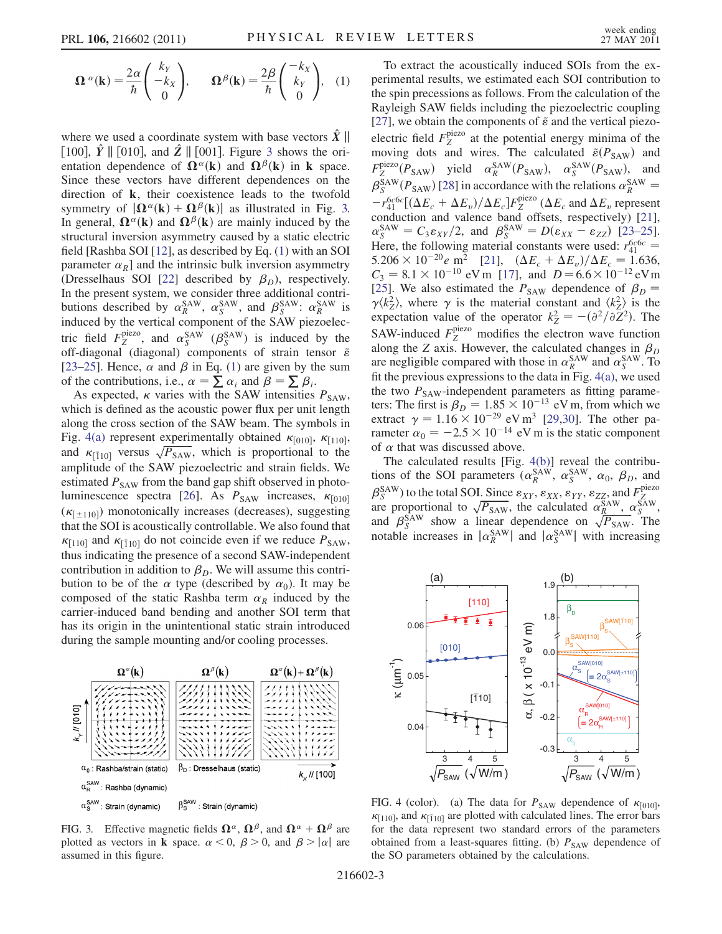<span id="page-2-1"></span>
$$
\Omega^{\alpha}(\mathbf{k}) = \frac{2\alpha}{\hbar} \begin{pmatrix} k_Y \\ -k_X \\ 0 \end{pmatrix}, \qquad \Omega^{\beta}(\mathbf{k}) = \frac{2\beta}{\hbar} \begin{pmatrix} -k_X \\ k_Y \\ 0 \end{pmatrix}, \quad (1)
$$

where we used a coordinate system with base vectors  $\hat{X} \parallel$ [100],  $\hat{Y}$  || [010], and  $\hat{Z}$  || [001]. Figure [3](#page-2-0) shows the orientation dependence of  $\Omega^{\alpha}(\mathbf{k})$  and  $\Omega^{\beta}(\mathbf{k})$  in **k** space. Since these vectors have different dependences on the direction of k, their coexistence leads to the twofold symmetry of  $|\mathbf{\Omega}^{\alpha}(\mathbf{k}) + \mathbf{\Omega}^{\beta}(\mathbf{k})|$  as illustrated in Fig. [3.](#page-2-0) In general,  $\mathbf{\Omega}^{\alpha}(\mathbf{k})$  and  $\mathbf{\Omega}^{\beta}(\mathbf{k})$  are mainly induced by the structural inversion asymmetry caused by a static electric field [Rashba SOI [[12](#page-3-12)], as described by Eq. [\(1\)](#page-2-1) with an SOI parameter  $\alpha_R$ ] and the intrinsic bulk inversion asymmetry (Dresselhaus SOI [[22](#page-3-21)] described by  $\beta_D$ ), respectively. In the present system, we consider three additional contributions described by  $\alpha_R^{\text{SAW}}$ ,  $\alpha_S^{\text{SAW}}$ , and  $\beta_S^{\text{SAW}}$ :  $\alpha_R^{\text{SAW}}$  is induced by the vertical component of the SAW piezoelectric field  $F_Z^{\text{piezo}}$ , and  $\alpha_S^{\text{SAW}}$  ( $\beta_S^{\text{SAW}}$ ) is induced by the off-diagonal (diagonal) components of strain tensor  $\tilde{\epsilon}$ [\[23–](#page-3-22)[25\]](#page-3-23). Hence,  $\alpha$  and  $\beta$  in Eq. ([1\)](#page-2-1) are given by the sum of the contributions, i.e.,  $\alpha = \sum \alpha_i$  and  $\beta = \sum \beta_i$ .

As expected,  $\kappa$  varies with the SAW intensities  $P_{SAW}$ , which is defined as the acoustic power flux per unit length along the cross section of the SAW beam. The symbols in Fig. [4\(a\)](#page-2-2) represent experimentally obtained  $\kappa_{[010]}$ ,  $\kappa_{[110]}$ , and  $\kappa_{[110]}$  versus  $\sqrt{P_{SAW}}$ , which is proportional to the amplitude of the SAW piezoelectric and strain fields. We estimated  $P_{SAW}$  from the band gap shift observed in photo-luminescence spectra [\[26\]](#page-3-24). As  $P_{SAW}$  increases,  $\kappa_{[010]}$  $(\kappa_{[\pm 110]})$  monotonically increases (decreases), suggesting that the SOI is acoustically controllable. We also found that  $\kappa_{[110]}$  and  $\kappa_{[110]}$  do not coincide even if we reduce  $P_{SAW}$ , thus indicating the presence of a second SAW-independent contribution in addition to  $\beta_D$ . We will assume this contribution to be of the  $\alpha$  type (described by  $\alpha_0$ ). It may be composed of the static Rashba term  $\alpha_R$  induced by the carrier-induced band bending and another SOI term that has its origin in the unintentional static strain introduced during the sample mounting and/or cooling processes.

<span id="page-2-0"></span>

FIG. 3. Effective magnetic fields  $\mathbf{\Omega}^{\alpha}$ ,  $\mathbf{\Omega}^{\beta}$ , and  $\mathbf{\Omega}^{\alpha} + \mathbf{\Omega}^{\beta}$  are plotted as vectors in **k** space.  $\alpha < 0$ ,  $\beta > 0$ , and  $\beta > |\alpha|$  are assumed in this figure.

To extract the acoustically induced SOIs from the experimental results, we estimated each SOI contribution to the spin precessions as follows. From the calculation of the Rayleigh SAW fields including the piezoelectric coupling [\[27\]](#page-3-25), we obtain the components of  $\tilde{\epsilon}$  and the vertical piezoelectric field  $F_Z^{\text{piezo}}$  at the potential energy minima of the moving dots and wires. The calculated  $\tilde{\varepsilon}(P_{\text{SAW}})$  and  $F_Z^{\text{piezo}}(P_{SAW})$  yield  $\alpha_R^{\text{SAW}}(P_{SAW})$ ,  $\alpha_S^{\text{SAW}}(P_{SAW})$ , and  $\beta_S^{SAW}(P_{SAW})$  [\[28\]](#page-3-26) in accordance with the relations  $\alpha_R^{SAW} =$  $-r_{41}^{6c6c}[(\Delta E_c + \Delta E_v)/\Delta E_c]F_Z^{\text{piezo}}(\Delta E_c \text{ and } \Delta E_v \text{ represent}$ conduction and valence band offsets, respectively) [[21\]](#page-3-20),  $\alpha_S^{\text{SAW}} = C_3 \varepsilon_{XY}/2$ , and  $\beta_S^{\text{SAW}} = D(\varepsilon_{XX} - \varepsilon_{ZZ})$  [[23](#page-3-22)–[25\]](#page-3-23). Here, the following material constants were used:  $r_{41}^{6c6c}$  =  $5.206 \times 10^{-20} e \text{ m}^2$  [[21](#page-3-20)],  $(\Delta E_c + \Delta E_v)/\Delta E_c = 1.636$ ,  $C_3 = 8.1 \times 10^{-10}$  eV m [\[17\]](#page-3-27), and  $D = 6.6 \times 10^{-12}$  eV m [\[25\]](#page-3-23). We also estimated the  $P_{SAW}$  dependence of  $\beta_D$  =  $\gamma \langle k_z^2 \rangle$ , where  $\gamma$  is the material constant and  $\langle k_z^2 \rangle$  is the expectation value of the operator  $k_Z^2 = -(\partial^2/\partial \overline{Z}^2)$ . The SAW-induced  $F_Z^{\text{piezo}}$  modifies the electron wave function along the Z axis. However, the calculated changes in  $\beta_D$ are negligible compared with those in  $\alpha_R^{\text{SAW}}$  and  $\alpha_S^{\text{SAW}}$ . To fit the previous expressions to the data in Fig. [4\(a\),](#page-2-2) we used the two  $P_{SAW}$ -independent parameters as fitting parameters: The first is  $\beta_D = 1.85 \times 10^{-13}$  eV m, from which we extract  $\gamma = 1.16 \times 10^{-29}$  $\gamma = 1.16 \times 10^{-29}$  $\gamma = 1.16 \times 10^{-29}$  eV m<sup>3</sup> [29[,30\]](#page-3-29). The other parameter  $\alpha_0 = -2.5 \times 10^{-14}$  eV m is the static component of  $\alpha$  that was discussed above.

The calculated results [Fig. [4\(b\)\]](#page-2-2) reveal the contributions of the SOI parameters  $(\alpha_R^{\text{SAW}}, \alpha_S^{\text{SAW}}, \alpha_0, \beta_D, \text{and}$  $\beta_S^{\text{SAW}}$ ) to the total SOI. Since  $\varepsilon_{XY}, \varepsilon_{XX}, \varepsilon_{YY}, \varepsilon_{ZZ}$ , and  $F_Z^{\text{piezo}}$ are proportional to  $\sqrt{P_{SAW}}$ , the calculated  $\alpha_R^{SAW}$ ,  $\alpha_S^{SAW}$ , and  $\beta_S^{\text{SAW}}$  show a linear dependence on  $\sqrt{P_{\text{SAW}}}$ . The notable increases in  $|\alpha_R^{SAW}|$  and  $|\alpha_S^{SAW}|$  with increasing



<span id="page-2-2"></span>FIG. 4 (color). (a) The data for  $P_{SAW}$  dependence of  $\kappa_{[010]}$ ,  $\kappa_{[110]}$ , and  $\kappa_{[110]}$  are plotted with calculated lines. The error bars for the data represent two standard errors of the parameters obtained from a least-squares fitting. (b)  $P_{SAW}$  dependence of the SO parameters obtained by the calculations.